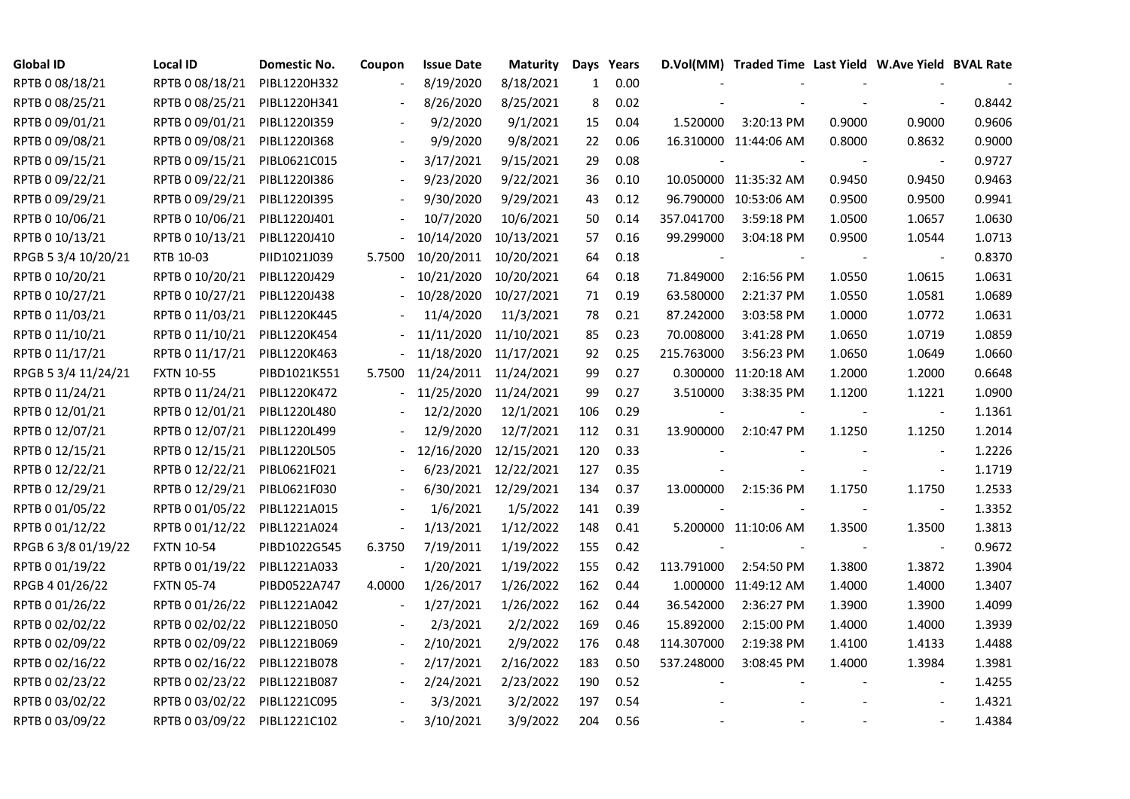| <b>Global ID</b>    | <b>Local ID</b>   | Domestic No. | Coupon                   | <b>Issue Date</b> | <b>Maturity</b>       |     | Days Years |            | D.Vol(MM) Traded Time Last Yield W.Ave Yield BVAL Rate |        |                          |        |
|---------------------|-------------------|--------------|--------------------------|-------------------|-----------------------|-----|------------|------------|--------------------------------------------------------|--------|--------------------------|--------|
| RPTB 0 08/18/21     | RPTB 0 08/18/21   | PIBL1220H332 |                          | 8/19/2020         | 8/18/2021             | 1   | 0.00       |            |                                                        |        |                          |        |
| RPTB 0 08/25/21     | RPTB 0 08/25/21   | PIBL1220H341 |                          | 8/26/2020         | 8/25/2021             | 8   | 0.02       |            |                                                        |        |                          | 0.8442 |
| RPTB 0 09/01/21     | RPTB 0 09/01/21   | PIBL1220I359 |                          | 9/2/2020          | 9/1/2021              | 15  | 0.04       | 1.520000   | 3:20:13 PM                                             | 0.9000 | 0.9000                   | 0.9606 |
| RPTB 0 09/08/21     | RPTB 0 09/08/21   | PIBL1220I368 |                          | 9/9/2020          | 9/8/2021              | 22  | 0.06       |            | 16.310000 11:44:06 AM                                  | 0.8000 | 0.8632                   | 0.9000 |
| RPTB 0 09/15/21     | RPTB 0 09/15/21   | PIBL0621C015 | $\blacksquare$           | 3/17/2021         | 9/15/2021             | 29  | 0.08       |            |                                                        |        |                          | 0.9727 |
| RPTB 0 09/22/21     | RPTB 0 09/22/21   | PIBL1220I386 |                          | 9/23/2020         | 9/22/2021             | 36  | 0.10       |            | 10.050000 11:35:32 AM                                  | 0.9450 | 0.9450                   | 0.9463 |
| RPTB 0 09/29/21     | RPTB 0 09/29/21   | PIBL1220I395 |                          | 9/30/2020         | 9/29/2021             | 43  | 0.12       |            | 96.790000 10:53:06 AM                                  | 0.9500 | 0.9500                   | 0.9941 |
| RPTB 0 10/06/21     | RPTB 0 10/06/21   | PIBL1220J401 |                          | 10/7/2020         | 10/6/2021             | 50  | 0.14       | 357.041700 | 3:59:18 PM                                             | 1.0500 | 1.0657                   | 1.0630 |
| RPTB 0 10/13/21     | RPTB 0 10/13/21   | PIBL1220J410 |                          | 10/14/2020        | 10/13/2021            | 57  | 0.16       | 99.299000  | 3:04:18 PM                                             | 0.9500 | 1.0544                   | 1.0713 |
| RPGB 5 3/4 10/20/21 | RTB 10-03         | PIID1021J039 | 5.7500                   | 10/20/2011        | 10/20/2021            | 64  | 0.18       |            |                                                        |        |                          | 0.8370 |
| RPTB 0 10/20/21     | RPTB 0 10/20/21   | PIBL1220J429 |                          | 10/21/2020        | 10/20/2021            | 64  | 0.18       | 71.849000  | 2:16:56 PM                                             | 1.0550 | 1.0615                   | 1.0631 |
| RPTB 0 10/27/21     | RPTB 0 10/27/21   | PIBL1220J438 |                          | 10/28/2020        | 10/27/2021            | 71  | 0.19       | 63.580000  | 2:21:37 PM                                             | 1.0550 | 1.0581                   | 1.0689 |
| RPTB 0 11/03/21     | RPTB 0 11/03/21   | PIBL1220K445 |                          | 11/4/2020         | 11/3/2021             | 78  | 0.21       | 87.242000  | 3:03:58 PM                                             | 1.0000 | 1.0772                   | 1.0631 |
| RPTB 0 11/10/21     | RPTB 0 11/10/21   | PIBL1220K454 |                          | 11/11/2020        | 11/10/2021            | 85  | 0.23       | 70.008000  | 3:41:28 PM                                             | 1.0650 | 1.0719                   | 1.0859 |
| RPTB 0 11/17/21     | RPTB 0 11/17/21   | PIBL1220K463 |                          | 11/18/2020        | 11/17/2021            | 92  | 0.25       | 215.763000 | 3:56:23 PM                                             | 1.0650 | 1.0649                   | 1.0660 |
| RPGB 5 3/4 11/24/21 | <b>FXTN 10-55</b> | PIBD1021K551 | 5.7500                   |                   | 11/24/2011 11/24/2021 | 99  | 0.27       |            | 0.300000 11:20:18 AM                                   | 1.2000 | 1.2000                   | 0.6648 |
| RPTB 0 11/24/21     | RPTB 0 11/24/21   | PIBL1220K472 |                          |                   | 11/25/2020 11/24/2021 | 99  | 0.27       | 3.510000   | 3:38:35 PM                                             | 1.1200 | 1.1221                   | 1.0900 |
| RPTB 0 12/01/21     | RPTB 0 12/01/21   | PIBL1220L480 |                          | 12/2/2020         | 12/1/2021             | 106 | 0.29       |            |                                                        |        | $\overline{\phantom{a}}$ | 1.1361 |
| RPTB 0 12/07/21     | RPTB 0 12/07/21   | PIBL1220L499 |                          | 12/9/2020         | 12/7/2021             | 112 | 0.31       | 13.900000  | 2:10:47 PM                                             | 1.1250 | 1.1250                   | 1.2014 |
| RPTB 0 12/15/21     | RPTB 0 12/15/21   | PIBL1220L505 |                          | 12/16/2020        | 12/15/2021            | 120 | 0.33       |            |                                                        |        | $\overline{\phantom{a}}$ | 1.2226 |
| RPTB 0 12/22/21     | RPTB 0 12/22/21   | PIBL0621F021 |                          |                   | 6/23/2021 12/22/2021  | 127 | 0.35       |            |                                                        |        | $\blacksquare$           | 1.1719 |
| RPTB 0 12/29/21     | RPTB 0 12/29/21   | PIBL0621F030 |                          | 6/30/2021         | 12/29/2021            | 134 | 0.37       | 13.000000  | 2:15:36 PM                                             | 1.1750 | 1.1750                   | 1.2533 |
| RPTB 0 01/05/22     | RPTB 0 01/05/22   | PIBL1221A015 |                          | 1/6/2021          | 1/5/2022              | 141 | 0.39       |            |                                                        |        | $\overline{\phantom{a}}$ | 1.3352 |
| RPTB 0 01/12/22     | RPTB 0 01/12/22   | PIBL1221A024 | $\overline{\phantom{a}}$ | 1/13/2021         | 1/12/2022             | 148 | 0.41       |            | 5.200000 11:10:06 AM                                   | 1.3500 | 1.3500                   | 1.3813 |
| RPGB 63/8 01/19/22  | <b>FXTN 10-54</b> | PIBD1022G545 | 6.3750                   | 7/19/2011         | 1/19/2022             | 155 | 0.42       |            |                                                        |        | $\blacksquare$           | 0.9672 |
| RPTB 0 01/19/22     | RPTB 0 01/19/22   | PIBL1221A033 |                          | 1/20/2021         | 1/19/2022             | 155 | 0.42       | 113.791000 | 2:54:50 PM                                             | 1.3800 | 1.3872                   | 1.3904 |
| RPGB 4 01/26/22     | <b>FXTN 05-74</b> | PIBD0522A747 | 4.0000                   | 1/26/2017         | 1/26/2022             | 162 | 0.44       |            | 1.000000 11:49:12 AM                                   | 1.4000 | 1.4000                   | 1.3407 |
| RPTB 0 01/26/22     | RPTB 0 01/26/22   | PIBL1221A042 | $\overline{\phantom{a}}$ | 1/27/2021         | 1/26/2022             | 162 | 0.44       | 36.542000  | 2:36:27 PM                                             | 1.3900 | 1.3900                   | 1.4099 |
| RPTB 0 02/02/22     | RPTB 0 02/02/22   | PIBL1221B050 |                          | 2/3/2021          | 2/2/2022              | 169 | 0.46       | 15.892000  | 2:15:00 PM                                             | 1.4000 | 1.4000                   | 1.3939 |
| RPTB 0 02/09/22     | RPTB 0 02/09/22   | PIBL1221B069 |                          | 2/10/2021         | 2/9/2022              | 176 | 0.48       | 114.307000 | 2:19:38 PM                                             | 1.4100 | 1.4133                   | 1.4488 |
| RPTB 0 02/16/22     | RPTB 0 02/16/22   | PIBL1221B078 |                          | 2/17/2021         | 2/16/2022             | 183 | 0.50       | 537.248000 | 3:08:45 PM                                             | 1.4000 | 1.3984                   | 1.3981 |
| RPTB 0 02/23/22     | RPTB 0 02/23/22   | PIBL1221B087 |                          | 2/24/2021         | 2/23/2022             | 190 | 0.52       |            |                                                        |        | $\overline{\phantom{a}}$ | 1.4255 |
| RPTB 0 03/02/22     | RPTB 0 03/02/22   | PIBL1221C095 |                          | 3/3/2021          | 3/2/2022              | 197 | 0.54       |            |                                                        |        |                          | 1.4321 |
| RPTB 0 03/09/22     | RPTB 0 03/09/22   | PIBL1221C102 |                          | 3/10/2021         | 3/9/2022              | 204 | 0.56       |            |                                                        |        |                          | 1.4384 |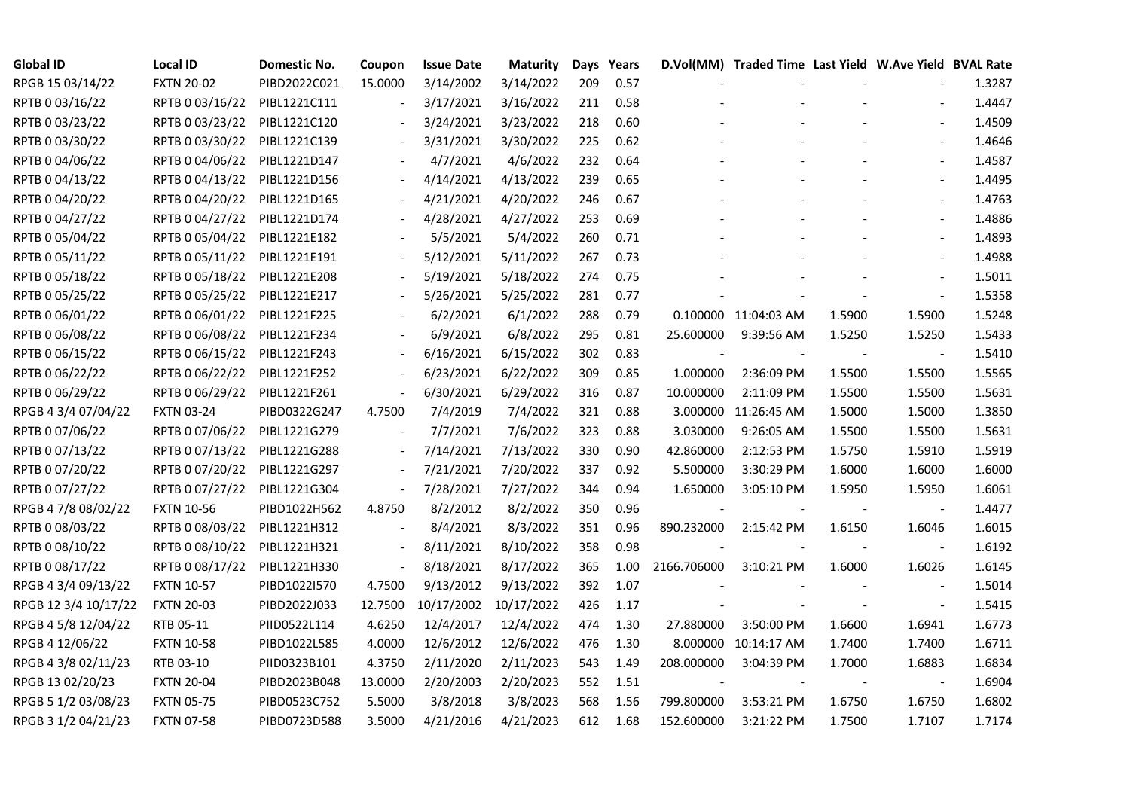| <b>Global ID</b>     | <b>Local ID</b>   | Domestic No. | Coupon                   | <b>Issue Date</b> | <b>Maturity</b> |     | Days Years |             | D.Vol(MM) Traded Time Last Yield W.Ave Yield BVAL Rate |        |                          |        |
|----------------------|-------------------|--------------|--------------------------|-------------------|-----------------|-----|------------|-------------|--------------------------------------------------------|--------|--------------------------|--------|
| RPGB 15 03/14/22     | <b>FXTN 20-02</b> | PIBD2022C021 | 15.0000                  | 3/14/2002         | 3/14/2022       | 209 | 0.57       |             |                                                        |        |                          | 1.3287 |
| RPTB 0 03/16/22      | RPTB 0 03/16/22   | PIBL1221C111 |                          | 3/17/2021         | 3/16/2022       | 211 | 0.58       |             |                                                        |        |                          | 1.4447 |
| RPTB 0 03/23/22      | RPTB 0 03/23/22   | PIBL1221C120 |                          | 3/24/2021         | 3/23/2022       | 218 | 0.60       |             |                                                        |        | $\overline{\phantom{a}}$ | 1.4509 |
| RPTB 0 03/30/22      | RPTB 0 03/30/22   | PIBL1221C139 | $\overline{\phantom{a}}$ | 3/31/2021         | 3/30/2022       | 225 | 0.62       |             |                                                        |        | $\blacksquare$           | 1.4646 |
| RPTB 0 04/06/22      | RPTB 0 04/06/22   | PIBL1221D147 |                          | 4/7/2021          | 4/6/2022        | 232 | 0.64       |             |                                                        |        | $\blacksquare$           | 1.4587 |
| RPTB 0 04/13/22      | RPTB 0 04/13/22   | PIBL1221D156 |                          | 4/14/2021         | 4/13/2022       | 239 | 0.65       |             |                                                        |        |                          | 1.4495 |
| RPTB 0 04/20/22      | RPTB 0 04/20/22   | PIBL1221D165 |                          | 4/21/2021         | 4/20/2022       | 246 | 0.67       |             |                                                        |        | $\blacksquare$           | 1.4763 |
| RPTB 0 04/27/22      | RPTB 0 04/27/22   | PIBL1221D174 |                          | 4/28/2021         | 4/27/2022       | 253 | 0.69       |             |                                                        |        | $\blacksquare$           | 1.4886 |
| RPTB 0 05/04/22      | RPTB 0 05/04/22   | PIBL1221E182 |                          | 5/5/2021          | 5/4/2022        | 260 | 0.71       |             |                                                        |        |                          | 1.4893 |
| RPTB 0 05/11/22      | RPTB 0 05/11/22   | PIBL1221E191 |                          | 5/12/2021         | 5/11/2022       | 267 | 0.73       |             |                                                        |        | $\overline{\phantom{a}}$ | 1.4988 |
| RPTB 0 05/18/22      | RPTB 0 05/18/22   | PIBL1221E208 | $\overline{\phantom{a}}$ | 5/19/2021         | 5/18/2022       | 274 | 0.75       |             |                                                        |        | $\blacksquare$           | 1.5011 |
| RPTB 0 05/25/22      | RPTB 0 05/25/22   | PIBL1221E217 |                          | 5/26/2021         | 5/25/2022       | 281 | 0.77       |             |                                                        |        | $\overline{\phantom{a}}$ | 1.5358 |
| RPTB 0 06/01/22      | RPTB 0 06/01/22   | PIBL1221F225 |                          | 6/2/2021          | 6/1/2022        | 288 | 0.79       |             | 0.100000 11:04:03 AM                                   | 1.5900 | 1.5900                   | 1.5248 |
| RPTB 0 06/08/22      | RPTB 0 06/08/22   | PIBL1221F234 |                          | 6/9/2021          | 6/8/2022        | 295 | 0.81       | 25.600000   | 9:39:56 AM                                             | 1.5250 | 1.5250                   | 1.5433 |
| RPTB 0 06/15/22      | RPTB 0 06/15/22   | PIBL1221F243 |                          | 6/16/2021         | 6/15/2022       | 302 | 0.83       |             |                                                        |        | $\overline{\phantom{a}}$ | 1.5410 |
| RPTB 0 06/22/22      | RPTB 0 06/22/22   | PIBL1221F252 |                          | 6/23/2021         | 6/22/2022       | 309 | 0.85       | 1.000000    | 2:36:09 PM                                             | 1.5500 | 1.5500                   | 1.5565 |
| RPTB 0 06/29/22      | RPTB 0 06/29/22   | PIBL1221F261 | $\overline{\phantom{a}}$ | 6/30/2021         | 6/29/2022       | 316 | 0.87       | 10.000000   | 2:11:09 PM                                             | 1.5500 | 1.5500                   | 1.5631 |
| RPGB 4 3/4 07/04/22  | <b>FXTN 03-24</b> | PIBD0322G247 | 4.7500                   | 7/4/2019          | 7/4/2022        | 321 | 0.88       |             | 3.000000 11:26:45 AM                                   | 1.5000 | 1.5000                   | 1.3850 |
| RPTB 0 07/06/22      | RPTB 0 07/06/22   | PIBL1221G279 | $\overline{\phantom{a}}$ | 7/7/2021          | 7/6/2022        | 323 | 0.88       | 3.030000    | 9:26:05 AM                                             | 1.5500 | 1.5500                   | 1.5631 |
| RPTB 0 07/13/22      | RPTB 0 07/13/22   | PIBL1221G288 | $\blacksquare$           | 7/14/2021         | 7/13/2022       | 330 | 0.90       | 42.860000   | 2:12:53 PM                                             | 1.5750 | 1.5910                   | 1.5919 |
| RPTB 0 07/20/22      | RPTB 0 07/20/22   | PIBL1221G297 | $\overline{\phantom{a}}$ | 7/21/2021         | 7/20/2022       | 337 | 0.92       | 5.500000    | 3:30:29 PM                                             | 1.6000 | 1.6000                   | 1.6000 |
| RPTB 0 07/27/22      | RPTB 0 07/27/22   | PIBL1221G304 | $\blacksquare$           | 7/28/2021         | 7/27/2022       | 344 | 0.94       | 1.650000    | 3:05:10 PM                                             | 1.5950 | 1.5950                   | 1.6061 |
| RPGB 4 7/8 08/02/22  | <b>FXTN 10-56</b> | PIBD1022H562 | 4.8750                   | 8/2/2012          | 8/2/2022        | 350 | 0.96       |             |                                                        |        |                          | 1.4477 |
| RPTB 0 08/03/22      | RPTB 0 08/03/22   | PIBL1221H312 |                          | 8/4/2021          | 8/3/2022        | 351 | 0.96       | 890.232000  | 2:15:42 PM                                             | 1.6150 | 1.6046                   | 1.6015 |
| RPTB 0 08/10/22      | RPTB 0 08/10/22   | PIBL1221H321 | $\overline{\phantom{a}}$ | 8/11/2021         | 8/10/2022       | 358 | 0.98       |             |                                                        |        | $\overline{\phantom{a}}$ | 1.6192 |
| RPTB 0 08/17/22      | RPTB 0 08/17/22   | PIBL1221H330 | $\overline{\phantom{a}}$ | 8/18/2021         | 8/17/2022       | 365 | 1.00       | 2166.706000 | 3:10:21 PM                                             | 1.6000 | 1.6026                   | 1.6145 |
| RPGB 4 3/4 09/13/22  | <b>FXTN 10-57</b> | PIBD10221570 | 4.7500                   | 9/13/2012         | 9/13/2022       | 392 | 1.07       |             |                                                        |        | $\overline{\phantom{a}}$ | 1.5014 |
| RPGB 12 3/4 10/17/22 | <b>FXTN 20-03</b> | PIBD2022J033 | 12.7500                  | 10/17/2002        | 10/17/2022      | 426 | 1.17       |             |                                                        |        | $\sim$                   | 1.5415 |
| RPGB 4 5/8 12/04/22  | RTB 05-11         | PIID0522L114 | 4.6250                   | 12/4/2017         | 12/4/2022       | 474 | 1.30       | 27.880000   | 3:50:00 PM                                             | 1.6600 | 1.6941                   | 1.6773 |
| RPGB 4 12/06/22      | <b>FXTN 10-58</b> | PIBD1022L585 | 4.0000                   | 12/6/2012         | 12/6/2022       | 476 | 1.30       |             | 8.000000 10:14:17 AM                                   | 1.7400 | 1.7400                   | 1.6711 |
| RPGB 4 3/8 02/11/23  | RTB 03-10         | PIID0323B101 | 4.3750                   | 2/11/2020         | 2/11/2023       | 543 | 1.49       | 208.000000  | 3:04:39 PM                                             | 1.7000 | 1.6883                   | 1.6834 |
| RPGB 13 02/20/23     | <b>FXTN 20-04</b> | PIBD2023B048 | 13.0000                  | 2/20/2003         | 2/20/2023       | 552 | 1.51       |             |                                                        |        |                          | 1.6904 |
| RPGB 5 1/2 03/08/23  | <b>FXTN 05-75</b> | PIBD0523C752 | 5.5000                   | 3/8/2018          | 3/8/2023        | 568 | 1.56       | 799.800000  | 3:53:21 PM                                             | 1.6750 | 1.6750                   | 1.6802 |
| RPGB 3 1/2 04/21/23  | <b>FXTN 07-58</b> | PIBD0723D588 | 3.5000                   | 4/21/2016         | 4/21/2023       | 612 | 1.68       | 152.600000  | 3:21:22 PM                                             | 1.7500 | 1.7107                   | 1.7174 |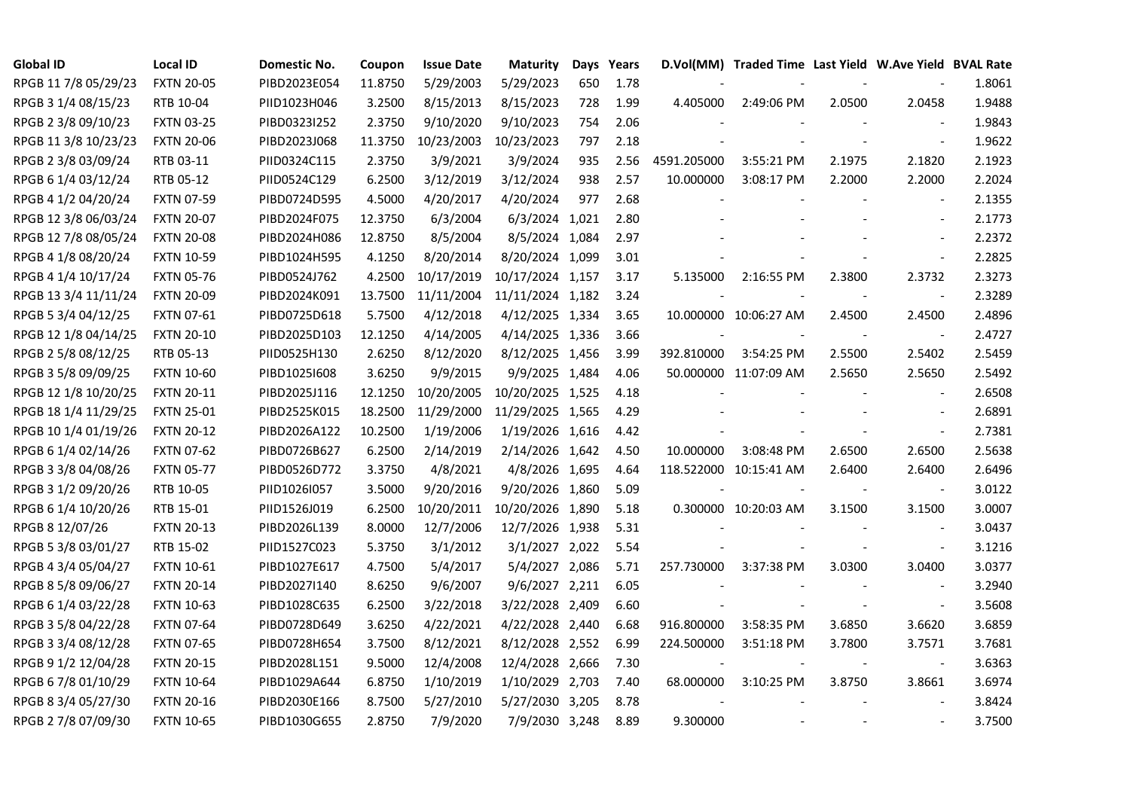| <b>Global ID</b>     | <b>Local ID</b>   | Domestic No. | Coupon  | <b>Issue Date</b> | <b>Maturity</b>  |     | Days Years |             | D.Vol(MM) Traded Time Last Yield W.Ave Yield BVAL Rate |                |                          |        |
|----------------------|-------------------|--------------|---------|-------------------|------------------|-----|------------|-------------|--------------------------------------------------------|----------------|--------------------------|--------|
| RPGB 11 7/8 05/29/23 | <b>FXTN 20-05</b> | PIBD2023E054 | 11.8750 | 5/29/2003         | 5/29/2023        | 650 | 1.78       |             |                                                        |                |                          | 1.8061 |
| RPGB 3 1/4 08/15/23  | RTB 10-04         | PIID1023H046 | 3.2500  | 8/15/2013         | 8/15/2023        | 728 | 1.99       | 4.405000    | 2:49:06 PM                                             | 2.0500         | 2.0458                   | 1.9488 |
| RPGB 2 3/8 09/10/23  | <b>FXTN 03-25</b> | PIBD0323I252 | 2.3750  | 9/10/2020         | 9/10/2023        | 754 | 2.06       |             |                                                        |                | $\blacksquare$           | 1.9843 |
| RPGB 11 3/8 10/23/23 | <b>FXTN 20-06</b> | PIBD2023J068 | 11.3750 | 10/23/2003        | 10/23/2023       | 797 | 2.18       |             |                                                        |                | $\overline{\phantom{a}}$ | 1.9622 |
| RPGB 2 3/8 03/09/24  | RTB 03-11         | PIID0324C115 | 2.3750  | 3/9/2021          | 3/9/2024         | 935 | 2.56       | 4591.205000 | 3:55:21 PM                                             | 2.1975         | 2.1820                   | 2.1923 |
| RPGB 6 1/4 03/12/24  | RTB 05-12         | PIID0524C129 | 6.2500  | 3/12/2019         | 3/12/2024        | 938 | 2.57       | 10.000000   | 3:08:17 PM                                             | 2.2000         | 2.2000                   | 2.2024 |
| RPGB 4 1/2 04/20/24  | <b>FXTN 07-59</b> | PIBD0724D595 | 4.5000  | 4/20/2017         | 4/20/2024        | 977 | 2.68       |             |                                                        |                | $\blacksquare$           | 2.1355 |
| RPGB 12 3/8 06/03/24 | <b>FXTN 20-07</b> | PIBD2024F075 | 12.3750 | 6/3/2004          | 6/3/2024 1,021   |     | 2.80       |             |                                                        |                | $\sim$                   | 2.1773 |
| RPGB 12 7/8 08/05/24 | <b>FXTN 20-08</b> | PIBD2024H086 | 12.8750 | 8/5/2004          | 8/5/2024 1,084   |     | 2.97       |             |                                                        |                |                          | 2.2372 |
| RPGB 4 1/8 08/20/24  | <b>FXTN 10-59</b> | PIBD1024H595 | 4.1250  | 8/20/2014         | 8/20/2024 1,099  |     | 3.01       |             |                                                        |                | $\overline{\phantom{a}}$ | 2.2825 |
| RPGB 4 1/4 10/17/24  | <b>FXTN 05-76</b> | PIBD0524J762 | 4.2500  | 10/17/2019        | 10/17/2024 1,157 |     | 3.17       | 5.135000    | 2:16:55 PM                                             | 2.3800         | 2.3732                   | 2.3273 |
| RPGB 13 3/4 11/11/24 | <b>FXTN 20-09</b> | PIBD2024K091 | 13.7500 | 11/11/2004        | 11/11/2024 1,182 |     | 3.24       |             |                                                        |                | $\blacksquare$           | 2.3289 |
| RPGB 5 3/4 04/12/25  | FXTN 07-61        | PIBD0725D618 | 5.7500  | 4/12/2018         | 4/12/2025 1,334  |     | 3.65       |             | 10.000000 10:06:27 AM                                  | 2.4500         | 2.4500                   | 2.4896 |
| RPGB 12 1/8 04/14/25 | <b>FXTN 20-10</b> | PIBD2025D103 | 12.1250 | 4/14/2005         | 4/14/2025 1,336  |     | 3.66       |             |                                                        |                | $\blacksquare$           | 2.4727 |
| RPGB 2 5/8 08/12/25  | RTB 05-13         | PIID0525H130 | 2.6250  | 8/12/2020         | 8/12/2025 1,456  |     | 3.99       | 392.810000  | 3:54:25 PM                                             | 2.5500         | 2.5402                   | 2.5459 |
| RPGB 3 5/8 09/09/25  | <b>FXTN 10-60</b> | PIBD10251608 | 3.6250  | 9/9/2015          | 9/9/2025 1,484   |     | 4.06       |             | 50.000000 11:07:09 AM                                  | 2.5650         | 2.5650                   | 2.5492 |
| RPGB 12 1/8 10/20/25 | <b>FXTN 20-11</b> | PIBD2025J116 | 12.1250 | 10/20/2005        | 10/20/2025 1,525 |     | 4.18       |             |                                                        |                | $\overline{\phantom{a}}$ | 2.6508 |
| RPGB 18 1/4 11/29/25 | <b>FXTN 25-01</b> | PIBD2525K015 | 18.2500 | 11/29/2000        | 11/29/2025 1,565 |     | 4.29       |             |                                                        |                | $\blacksquare$           | 2.6891 |
| RPGB 10 1/4 01/19/26 | <b>FXTN 20-12</b> | PIBD2026A122 | 10.2500 | 1/19/2006         | 1/19/2026 1,616  |     | 4.42       |             |                                                        |                | $\blacksquare$           | 2.7381 |
| RPGB 6 1/4 02/14/26  | <b>FXTN 07-62</b> | PIBD0726B627 | 6.2500  | 2/14/2019         | 2/14/2026 1,642  |     | 4.50       | 10.000000   | 3:08:48 PM                                             | 2.6500         | 2.6500                   | 2.5638 |
| RPGB 3 3/8 04/08/26  | <b>FXTN 05-77</b> | PIBD0526D772 | 3.3750  | 4/8/2021          | 4/8/2026 1,695   |     | 4.64       |             | 118.522000 10:15:41 AM                                 | 2.6400         | 2.6400                   | 2.6496 |
| RPGB 3 1/2 09/20/26  | RTB 10-05         | PIID1026I057 | 3.5000  | 9/20/2016         | 9/20/2026 1,860  |     | 5.09       |             |                                                        |                | $\overline{\phantom{a}}$ | 3.0122 |
| RPGB 6 1/4 10/20/26  | RTB 15-01         | PIID1526J019 | 6.2500  | 10/20/2011        | 10/20/2026 1,890 |     | 5.18       |             | 0.300000 10:20:03 AM                                   | 3.1500         | 3.1500                   | 3.0007 |
| RPGB 8 12/07/26      | <b>FXTN 20-13</b> | PIBD2026L139 | 8.0000  | 12/7/2006         | 12/7/2026 1,938  |     | 5.31       |             |                                                        |                | $\sim$                   | 3.0437 |
| RPGB 5 3/8 03/01/27  | RTB 15-02         | PIID1527C023 | 5.3750  | 3/1/2012          | 3/1/2027 2,022   |     | 5.54       |             |                                                        |                | $\blacksquare$           | 3.1216 |
| RPGB 4 3/4 05/04/27  | <b>FXTN 10-61</b> | PIBD1027E617 | 4.7500  | 5/4/2017          | 5/4/2027 2,086   |     | 5.71       | 257.730000  | 3:37:38 PM                                             | 3.0300         | 3.0400                   | 3.0377 |
| RPGB 8 5/8 09/06/27  | <b>FXTN 20-14</b> | PIBD2027I140 | 8.6250  | 9/6/2007          | 9/6/2027 2,211   |     | 6.05       |             |                                                        |                | $\blacksquare$           | 3.2940 |
| RPGB 6 1/4 03/22/28  | <b>FXTN 10-63</b> | PIBD1028C635 | 6.2500  | 3/22/2018         | 3/22/2028 2,409  |     | 6.60       |             |                                                        |                | $\blacksquare$           | 3.5608 |
| RPGB 3 5/8 04/22/28  | <b>FXTN 07-64</b> | PIBD0728D649 | 3.6250  | 4/22/2021         | 4/22/2028 2,440  |     | 6.68       | 916.800000  | 3:58:35 PM                                             | 3.6850         | 3.6620                   | 3.6859 |
| RPGB 3 3/4 08/12/28  | <b>FXTN 07-65</b> | PIBD0728H654 | 3.7500  | 8/12/2021         | 8/12/2028 2,552  |     | 6.99       | 224.500000  | 3:51:18 PM                                             | 3.7800         | 3.7571                   | 3.7681 |
| RPGB 9 1/2 12/04/28  | <b>FXTN 20-15</b> | PIBD2028L151 | 9.5000  | 12/4/2008         | 12/4/2028 2,666  |     | 7.30       |             |                                                        |                | $\overline{\phantom{a}}$ | 3.6363 |
| RPGB 67/8 01/10/29   | <b>FXTN 10-64</b> | PIBD1029A644 | 6.8750  | 1/10/2019         | 1/10/2029 2,703  |     | 7.40       | 68.000000   | 3:10:25 PM                                             | 3.8750         | 3.8661                   | 3.6974 |
| RPGB 8 3/4 05/27/30  | <b>FXTN 20-16</b> | PIBD2030E166 | 8.7500  | 5/27/2010         | 5/27/2030 3,205  |     | 8.78       |             |                                                        |                | $\blacksquare$           | 3.8424 |
| RPGB 2 7/8 07/09/30  | <b>FXTN 10-65</b> | PIBD1030G655 | 2.8750  | 7/9/2020          | 7/9/2030 3,248   |     | 8.89       | 9.300000    |                                                        | $\blacksquare$ | $\sim$                   | 3.7500 |